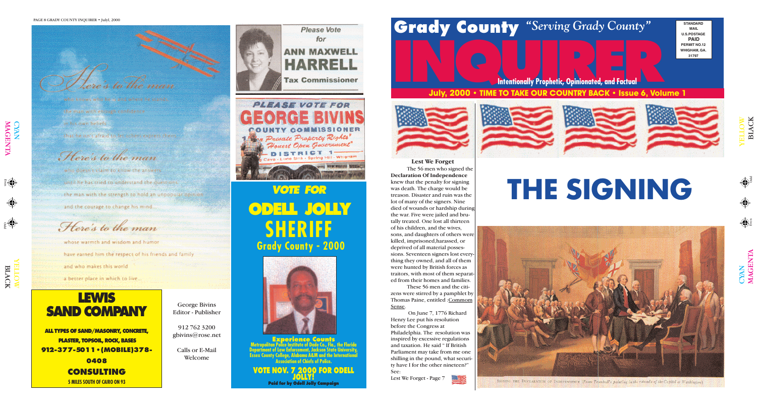### to blue move

a an an ainm an ainm an ainm an ainm an ainm a

the man with endugly confidenci **Lexibus Souver biolicels** that he isn't afraid to be achess express their

### Here's to the man

Odd Even

who doesn't claim to know the answers

 $\frac{1}{2}$   $\left\langle \bigoplus \right\rangle$ 

until he has tried to understand the duestions the man with the strength to hold an unpopulation non-

 $\bigcap$ 

and the courage to change his mind.

CYAN<br>MAGI

Here's to the man

 $\overline{\mathbf{E}}$  ${\bf Z}$  $\blacktriangleright$ 

whose warmth and wisdom and humor

# Please Vote Please Vote Please Vote **Grady County** "Serving Grady County"

have earned him the respect of his friends and family

and who makes this world

a better place in which to live.





 $\exists$  $\exists$ O  $\blacktriangleright$ 

 $\mathbf{\Xi}$ 





SIGNING THE DECEMBATION OF INDEPENDENCE (From Transbuff): painting in the ratuada of the Capital at Washington).

LAC

 $\overline{\mathsf{x}}$ 

# **INCORPORATION PROPERTY AND COUNTRY BACK 4 LESUS & VOLU July, 2000 • TIME TO TAKE OUR COUNTRY BACK • Issue 6, Volume 1**

**Intentionally Prophetic, Opinionated, and Factual**

*VOTE FOR* **ODELL JOLLY SHERIFF Grady County - 2000**



**Experience Counts Metropolitan Police Institute of Dade Co., Fla., the Florida Department of Law Enforcement, Jackson State University, Essex County College, Alabama A&M and the International Association of Chiefs of Police.**

### **VOTE NOV. 7 2000 FOR ODELL JOLLY! Paid for by Odell Jolly Campaign**



**STANDARD MAIL U.S.POSTAGE PAID PERMIT NO.12 WHIGHAM, GA. 31797**

**THE SIGNING**

**Lest We Forget** The 56 men who signed the **Declaration Of Independence** knew that the penalty for signing was death. The charge would be treason. Disaster and ruin was the lot of many of the signers. Nine died of wounds or hardship during the war. Five were jailed and brutally treated. One lost all thirteen of his children, and the wives, sons, and daughters of others were killed, imprisoned,harassed, or deprived of all material possessions. Seventeen signers lost everything they owned, and all of them were hunted by British forces as traitors, with most of them separated from their homes and families.

These 56 men and the citizens were stirred by a pamphlet by Thomas Paine, entitled :Commom

Sense.

On June 7, 1776 Richard Henry Lee put his resolution before the Congress at Philadelphia. The resolution was inspired by excessive regulations and taxation. He said " If British Parliament may take from me one shilling in the pound, what security have I for the other nineteen?"



See:

Lest We Forget - Page 7



## **LEWIS SAND COMPANY**

**ALL TYPES OF SAND/MASONRY, CONCRETE, PLASTER, TOPSOIL, ROCK, BASES 912-377-5011•(MOBILE)378- 0408 CONSULTING 5 MILES SOUTH OF CAIRO ON 93**

George Bivins Editor - Publisher

912 762 3200 gbivins@rose.net

Calls or E-Mail Welcome

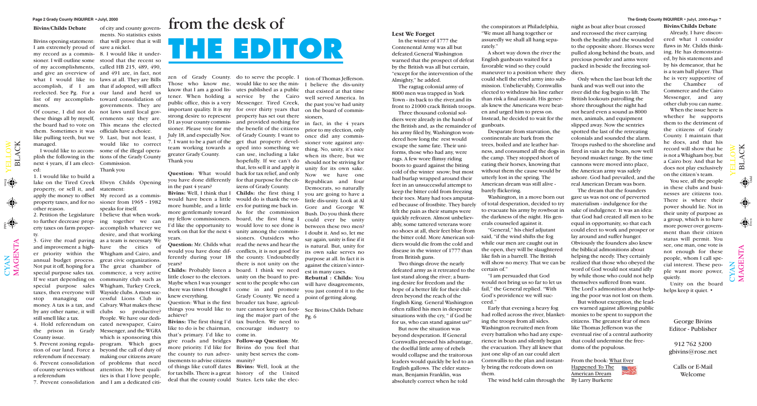$\mathbf{\Xi}$  $\overline{\phantom{0}}$  $\blacktriangleleft$ C K

 $\bigoplus$ 

 $\bigoplus$ 

 $\mathbf{\Xi}$  $\overline{\phantom{0}}$  $\blacktriangleleft$ C K

 $\mathbf{\Sigma}% _{T}=\mathbf{\Sigma}_{T}\times\mathbf{2}^{T}$  $\blacktriangleleft$ G  $\bf \Xi$  $\bm{\mathsf{Z}}$  $\boldsymbol{\Xi}$ 

Odd Even

# from the desk of **THE EDITOR**

### **Lest We Forget**

In the winter of 1777 the Contenental Army was all but defeated.General Washington warned that the prospect of defeat by the British was all but certain, "except for the intervention of the Almighty," he added.

The ragtag colonial army of 8000 men was trapped in York Town - its back to the river,and its front to 21000 crack British troops. Three thousand colonial soldiers were already in the hands of the British and, as the remainder of his army filed by, Washington wondered how long the rest would escape the same fate. Their uniforms, those who had any, were rags. A few wore flimsy riding boots to guard against the biting cold of the winter snow; but most had burlap wrapped around their feet in an unsuccessful attempt to keep the bitter cold from freezing their toes. Many had toes amputated because of frostbite. They barely felt the pain as their stumps were quickly refrozen. Almost unbelievably, some tattered veterans wore no shoes at all, their feet blue from the bitter cold. More American soldiers would die from the cold and disease in the winter of 1777 than from British guns.

Two things drove the nearly defeated army as it retreated to the last stand along the river; a burning desire for freedom and the hope of a better life for their children beyond the reach of the English King. General Washington often rallied his men in desperate situations with the cry, " if God be for us, who can stand against us?" But now the situation was beyond desperation. If General Cornwallis pressed his advantage, the doelful little army of rebels would collapse and the traitorous leaders would quickly be led to an English gallows. The elder statesman, Benjamin Franklin, was absolutely correct when he told

the conspirators at Philadelphia, "We must all hang together or assuredly we shall all hang separately."

A short way down the river the English gunboats waited for a favorable wind so they could maneuver to a position where they diers. could shell the rebel army into submission. Unbelievably, Cornwallis elected to withdraw his line rather than risk a final assault. His generals knew the Americans were beaten and urged him to press on. Instead, he decided to wait for the gunboats.

Desparate from starvation, the continentals ate bark from the trees, boiled and ate leather harness, and consumed all the dogs in the camp. They stopped short of eating their horses, knowing that without them the cause would br utterly lost in the spring. The American dream was still alive barely flickering.

Washington, in a move born out of total desperation, decided to try to evacuate his army by rowboat in the darkness of the night. His generals counseled against it.

"General," his chief adjutant said, "if the wind shifts the fog while our men are caught out in the open, they will be slaughtered like fish in a barrell. The British will show no mercy. That we can be certain of."

"I am persuaded that God would not bring us so far to let us fail," the General replied. "With God's providence we will succeed."

Early that evening a heavy fog had rolled across the river, blanketing the troops from all sides. Washington recruited men from every battalion who had any experience in boats and silently began the evacuation. They all knew that just one slip of an oar could alert Cornwallis to the plan and instantly bring the redcoats down on them.

night as boat after boat crossed and recrossed the river carrying both the healthy and the wounded to the opposite shore. Horses were pulled along behind the boats, and precious powder and arms were packed in beside the freezing sol-

Only when the last boat left the bank and was well out into the river did the fog begin to lift. The British lookouts patrolling the shore throughout the night had not heard even a sound as 8000 men, animals, and equipment slipped away. Now the sentries spotted the last of the retreating colonials and sounded the alarm. Troops rushed to the shoreline and fired in vain at the boats, now well beyond musket range. By the time cannons were moved into place, the American army was safely ashore. God had prevailed, and the real American Dream was born.

The wind held calm through the By Larry Burkette

The dream that the founders gave us was not one of perverted materialism - indulgence for the sake of indulgence. It was an idea: that God had created all men to be equal in opportunity, so that each could elect to work and prosper or lay around and suffer hunger. Obviously the founders also knew the biblical admonitions about helping the needy. They certainly realized that those who obeyed the word of God would not stand idly by while those who could not help themselves suffered from want. The Lord's admonition about helping the poor was not lost on them.

But without exception, the leaders warned against allowing public monies to be spent to support the citizens. The greatest fear of men like Thomas Jefferson was the eventual rise of a central authority that could undermine the freedoms of the populous.

From the book: What Ever Happened To The American Dream



### **Bivins/Childs Debate**

in fact, in the  $4$  years prior to my election, only once did any commissioner vote against anything. No, unity, it's nice when its there, but we should not be striving for unity for its own sake. Now we have one Republican and four Democrats, so naturally you are going to have a little dis-unity. Look at Al Gore and George W. Bush. Do you think there could ever be unity between these two men? I doubt it. And so, let me say again, unity is fine if it is natural. But, unity for its own sake serves no purpose at all. In fact it is against the citizen's interest in many cases.

Bivins opening statement: that will prove that it will I am extremely proud of save a nickel. my record as a commis-8. I would like it undersioner. I will outline some stood that the recent so of my accomplishments, called HB 215, 489, 490, and give an overview of and 491 are, in fact, not what I would like to laws at all. They are Bills accomplish, if I am that if adopted, will affect reelected. See Pg. For a our land and herd us list of my accomplish-toward consolidation of ments.

Of course, I did not do not laws until local govthese things all by myself, ernments say they are. the board had to vote on This means the elected them. Sometimes it was officials have a choice. like pulling teeth, but we 9. Last, but not least, I managed.

next 4 years, if I am elect-Commission. ed:

1. I would like to build a lake on the Tired Creek Elwyn Childs Opening property, or sell it, and statement: apply the money to offset My record as a commisproperty taxes, and for no sioner from 1965 - 1982 other reason.

2. Petition the Legislature I believe that when workty.

still smell like a tax.

 $\bigcup$  $\bm{\mathsf{X}}$  $\mathsf{Z}_1$ 

 $\blacktriangleright$  $\blacksquare$  $\overline{\phantom{0}}$  $\overline{\phantom{0}}$  $\bigcirc$  $\geqslant$ 

 $\bigoplus$ 

4. Hold referendum on the prison in Grady Messenger, and the WGRA County issue.

I would like to accom-some of the illegal operaplish the following in the tions of the Grady County would like to correct Thank you

5. Prevent zoning regulation of our land. Force a referendum if necessary. 6. Prevent consolidation

a referendum

of city and county governments. No statistics exists

governments. They are

to further decrease prop-ing together we can erty taxes on farm proper-accomplish whatever we 3. Give the road paving as a team is necessary. We and improvement a high-have the cities of er priority within the Whigham and Cairo, and annual budget process. great civic organizations. Not put it off, hoping for a The great chamber of special purpose sales tax. commerce, a very active If we start depending on community club such as special purpose sales Whigham, Turkey Creek, taxes, then everyone will Wayside clubs. A most sucstop managing our cessful Lions Club in money. A tax is a tax, and Calvary. What makes these by any other name, it will clubs so productive? of county services without attention. My best quali-7. Prevent consolidation and I am a dedicated citidesire, and that working People. We have our dedicated newspaper, Cairo which is sponsoring this program. Which goes beyond the call of duty of making our citizens aware of problems that need ties is that I love people,

speaks for itself.

Those who know me, would like to see the mingreater Grady County. Thank you

# in the past 4 years?

more humble, and a little ers for putting me back in. years.

years?

little closer to the electors. unity on the board to pre-Maybe when I was younger sent to the people who can there was times I thought I come in and promote knew everything.

zen of Grady County. do to serve the people. I that, lets sell it and apply it

know that I am a good lis-utes published as a public tener. When holding a service by the Cairo public office, this is a very Messenger. Tired Creek, important quality. It is my for over thirty years that strong desire to represent property has set out there D1 as your county commis-and provided nothing for sioner. Please vote for me the benefit of the citizens July 18, and especially Nov. of Grady County. I want to 7. I want to be a part of the get that property develteam working towards a oped into something we **Question:** What would back for tax relief, and only you have done differently for that purpose for the citcan use, including a lake hopefully. If we can't do izens of Grady County.

Question: What is the first broader tax base, agriculthings you would like to ture cannot keep on footachieve?

more priority. I'd like for Bivins do you feel that the county to run adver-unity best serves the com-

like to do is be chairman, encourage industry to that's primary. I'd like to come in. give roads and bridges **Follow-up Question**: Mr. tisements to advise citizens munity? of things like cutoff dates **Bivins:** Well, look at the deal that the county could States. Lets take the elec-

for tax bills. There is a great history of the United

**Bivins:** Well, I think that I **Childs:** the first thing I would have been a little would do is thank the votmore gentlemanly toward As for the commission my fellow commissioners. board, the first thing I I'd like the opportunity to would love to see done is work on that for the next 4 unity among the commis-**Question:** Mr. Childs what read the news and hear the would you have done dif-conflicts, it is not good for ferently during your 18 the county. Undoubtedly **Childs:** Probably listen a board. I think we need **Bivins:** The first thing I'd tax burden. We need to sioners. Outsiders who there is not unity on the Grady County. We need a ing the major part of the Pg. 6

tion of Thomas Jefferson. I believe the dis-unity that existed at that time well served America. In the past you've had unity on the board of commissioners,

**Rebuttal : Childs:** You will have disagreements, you just control it to the point of getting along.

See Bivins/Childs Debate

**Bivins/Childs Debate**

Already, I have discovered what I consider flaws in Mr. Childs thinking. He has demonstrated, by his statements and by his demeanor, that he is a team ball player. That he is very supportive of the Chamber of Commerce and the Cairo Messenger, and any other club you can name.

When the issue here is whether he supports them to the detriment of the citizens of Grady County. I maintain that he does, and that his record will show that he is not a Whigham boy, but a Cairo boy. And that he does not play exclusively on the citizen's team.

You see, all the people in these clubs and businesses are citizens too. There is where their power should lie. Not in their unity of purpose as a group, which is to have more power over government than their citizen status will permit. You see, one man, one vote is not enough for these people, whom I call special interest. These people want more power, quietly.

Unity on the board helps keep it quiet. •

George Bivins Editor - Publisher

912 762 3200 gbivins@rose.net

Calls or E-Mail Welcome

 $\blacktriangleright$  $\blacksquare$  $\overline{\phantom{0}}$  $\overline{\phantom{0}}$  $\bigcirc$  $\geqslant$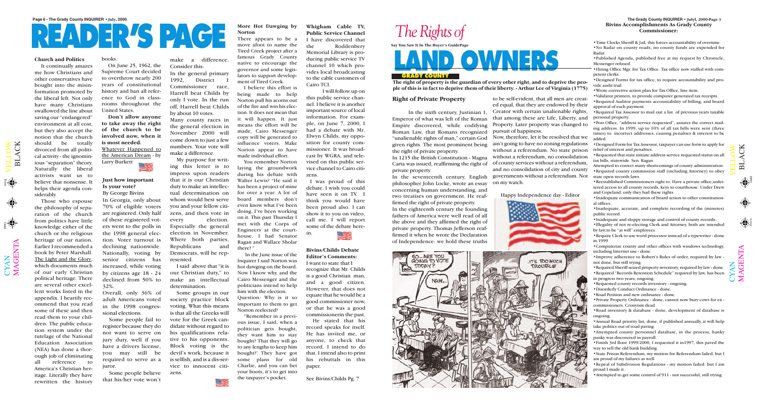$\mathbf{\Xi}$  $\overline{\phantom{0}}$  $\blacktriangleleft$ C K

 $\bigoplus$ 

 $\bigoplus_{\alpha}$ 



 $\mathbf{\Xi}$  $\overline{\phantom{0}}$  $\blacktriangleleft$ C K

 $\mathbf{\Sigma}% _{T}=\mathbf{\Sigma}_{T}\times\mathbf{2}^{T}$  $\blacktriangleleft$ G  $\bf \Xi$  $\bm{\mathsf{Z}}$  $\boldsymbol{\Xi}$ 





Odd Even

# **READER'S PAGE**

### **Just how important Is your vote?**

By George Bivins In Georgia, only about 70% of eligible voters are registered. Only half of these registered voters went to the polls in the 1998 general election. Voter turnout is declining nationwide. Nationally, voting by senior citizens has increased, while voting by citizens age 18 - 24 declined from 50% to 32%.

Overall, only 36% of adult Americans voted in the 1998 congressional elections.

Some people fail to register because they do not want to serve on jury duty, well if you have a drivers license, you may still be required to serve as a juror.

Some people believe that his/her vote won't

make a difference. Consider this:

In the general primary 1992, District 1 Commissioner race, Harrell beat Childs by only I vote. In the run off, Harrell beat Childs by about 10 votes. Many county races in the general election in November 2000 will come down to just a few numbers. Your vote will make a difference.

My purpose for writing this letter is to impress upon readers that it is our Christian duty to make an intellectual determination on whom would best serve you and your fellow citizens, and then vote in every election. Especially the general election in November. Where both parties, Republicans and Democrats, will be represented.

I said above that "it is our Christian duty," to make an intellectual determination.

Some groups in our society practice block voting. What this means is that all the Greeks will vote for the Greek candidate without regard to his qualifications relative to his opponents. Block voting is the devil's work, because it is selfish, and is a dis-service to innocent citizens.



### **Church and Politics**

It continually amazes me how Christians and other conservatives have bought into the misinformation promoted by the liberal left. Not only have many Christians swallowed the line about saving our "endangered" environment at all cost, but they also accept the notion that the church should be totally divorced from all political activity - the ignominious "separation" theory. Naturally the liberal activists want us to believe that nonsense. It helps their agenda considerably.

Those who espouse

the philosophy of separation of the church from politics have little knowledge either of the church or the religious heritage of our nation. Earlier I recommended a book by Peter Marshall. The Light and the Glory, which documents much of our early Christian political heritage. There are several other excellent works listed in the appendix. I heartily recommend that you read some of these and then read them to your children. The public education system under the tutelage of the National Education Association (NEA) has done a thorough job of eliminating all reference to America's Christian heritage. Literally they have rewritten the history

 $\bigcup$  $\bm{\mathsf{X}}$  $\mathsf{Z}_\mathsf{I}$ 

 $\blacktriangleright$  $\blacksquare$  $\overline{\phantom{0}}$  $\overline{\phantom{0}}$  $\bigcirc$  $\geqslant$ 

 $\langle \spadesuit \rangle$ 

books.

On June 25, 1962, the Supreme Court decided to overthrow nearly 200 years of constitutional history and ban all reference to God in classrooms throughout the United States.

**Don't allow anyone to take away the right of the church to be involved now, when it is most needed.** Whatever Happened to

the American Dream - by Larry Burkett





•Time Clocks Sheriff & Jail, this forces accountability of overtime. •No Radar on county roads, no county funds are expended for Radar.

•Published Agenda, published free at my request by Chronicle, Messenger refused.

•Hiring Office Mgr. for Tax Office. Tax office now staffed with competent clerks.

•Designed Forms for tax office, to require accountability and provide audit trail.

•Wrote corrective action plan for Tax Office, line item.

•Validator printers, to provide computer generated tax receipts. •Required Auditor payments accountability of billing, and board approval of each payment.

•Required Tax Assessor to mail out a list of previous years taxable personal property.

•Post Office, "address service requested", assures the correct mailing address. In 1999, up to 10% of all tax bills were sent (three times) to incorrect addresses, causing penalties & interest to be added.

•Designed Form for Tax Assessor, taxpayer can use form to apply for relief of interest and penalties.

•Requested that state initiate address service requested status on all tax bills, statewide. Sen. Ragan.

Attempted to correct many shortcomings of county administration: •Required county commission staff (including Attorney) to obey state open records laws.

•Reestablished Commissioners right to: Have a private office,unfettered access to all county records, keys to courthouse. Under Drew and Copeland, only they had these rights.

•Inadequate communication of board action to other constitutional offices.

•Inadequate, accurate, and complete recording of the (minutes) public record.

•Inadequate and sloppy storage and control of county records.

•Illegality of not re-electing Clerk and Attorney, both are intended by law,to be "at will" employees.

•Require Clerk to use word processor instead of a typewriter - done in 1999.

•Computerize county and other offices with windows technology, including Internet use - done.

•Improve adherence to Robert's Rules of order, required by law not done, but still trying.

•Required Sheriff seized property inventory, required by law - done. •Required "Records Retention Schedule" required by law, has been

in progress two years, ongoing.

•Requested county records inventory - ongoing.

•Disorderly Conduct Ordinance - done.

•Road Petition and new ordinance - done.

•Private Property Ordinance - done, cannot now bury cows for ex commissioners. Cronyism dead.

•Road inventory & database - done, development of database is ongoing.

•Annual Road priority list, done, if published annually, it will help take politics out of road paving.

•Attempted county personnel database, in the process, hanky panky was discovered in payroll.

•Finish 3rd floor 1999/2000, I requested it in1997, this paved the way to sell the old bank building.

•State Prison Referendum, my motion for Referendum failed, but I am proud of my failures as well.

•Repeal of Subdivision Regulations - my motion failed. but I am proud I made it.

•Attempted to get some control of 911 - not successful, still trying.

 $\blacktriangleright$  $\blacksquare$  $\overline{\phantom{0}}$  $\overline{\phantom{0}}$  $\bigcirc$  $\geqslant$ 

**The right of property is the guardian of every other right, and to deprive the people of this is in fact to deprive them of their liberty. - Arthur Lee of Virginia (1775)**

### **More Hot Dawging by Norton**

There appears to be a move afoot to name the Tired Creek project after a famous Grady County native to encourage the governor and some legislators to support development of Tired Creek.

I believe this effort is being made to help Norton pull his acorns out of the fire and win his election. It does not mean that it will happen. It just means the effort will be made, Cairo Messenger copy will be generated to influence voters. Make Norton appear to have made individual effort.

You remember Norton laying the groundwork during his debate with Walter Lewis? "He said it has been a project of mine for over a year. A lot of board members don't even know what I've been doing. I've been working on it. This past Thursday I met with the Corps of Engineers at the courthouse. I had Senator Ragan and Wallace Sholar there? "

In the June issue of the Inquirer I said Norton was hot dawging on the board. Now I know why, and the Cairo Messenger and the politicians intend to help him with the election. Question: Why is it so important to them to get Norton reelected?

"Remember in a previous issue, I said, when a politician gets bought, they want him to stay bought? That they will go to any lengths to keep him bought?' They have got some plans for old Charlie, and you can bet your boots, it's to get into the taxpayer's pocket.

### **Right of Private Property**

In the sixth century, Justinian 1, Emperor of what was left of the Roman Empire discovered, while codifying Roman Law, that Romans recognized "unalienable rights of man," certain God given rights. The most prominent being the right of private property.

In 1215 the British Constitution - Magna Carta was issued, reaffirming the right of private property.

In the seventeenth century, English philosopher John Locke, wrote an essay concerning human understanding, and two treatises on government. He reaffirmed the right of private property.

In the eighteenth century the founding fathers of America were well read of all the above and they affirmed the right of private property. Thomas Jefferson reaffirmed it when he wrote the Declaration of Independence: we hold these truths

to be self-evident, that all men are created equal, that they are endowed by their Creator with certain unalienable rights, that among these are Life, Liberty, and Property. Later property was changed to pursuit of happiness.

Now, therefore, let it be resolved that we ain't going to have no zoning regulations without a referendum. No state prison without a referendum, no consolidation of county services without a referendum, and no consolidation of city and county governments without a referendum. Not on my watch.

Happy Independence day - Editor



.IT'S TOO MUCH

**TROUBLE** 

### **Whigham Cable TV, Public Service Channel** I have discovered that the Roddenbery Memorial Library is producing public service TV channel 10 which provides local broadcasting to the cable customers of Cairo TCI.

I will follow up on this public service channel. I believe it is another important source of local information. For example, on June 7, 2000, I had a debate with Mr. Elwyn Childs, my opposition for county commissioner. It was broadcast by WGRA, and televised on this public service channel to Cairo citizens.

I was proud of this debate. I wish you could have seen it on TV. I think you would have been proud also. I can show it to you on video, call me. I will report some of the debate herein.



I want to state that I recognize that Mr. Childs is a good Christian man, and a good citizen. However, that does not equate that he would be a good commissioner now, or that he was a good commissionerin the past.

He stated that his record speaks for itself. He has invited me, or anyone, to check that record. I intend to do that. I intend also to print his rebuttals in this paper.

See Bivins/Childs Pg. 7